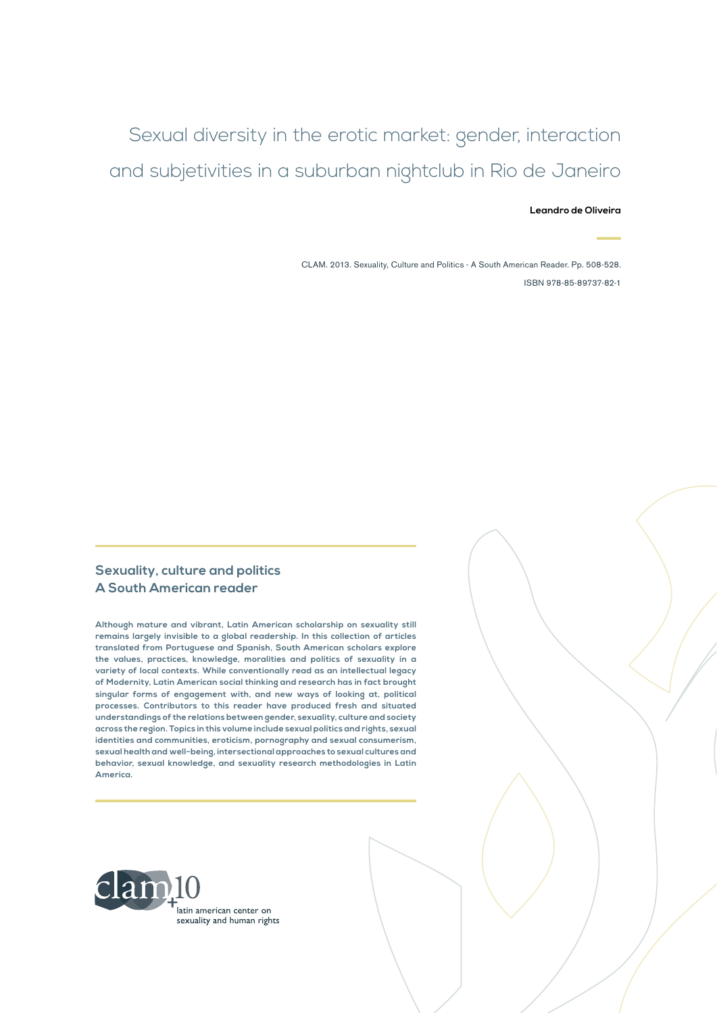**Leandro de Oliveira**

CLAM. 2013. Sexuality, Culture and Politics - A South American Reader. Pp. 508-528. ISBN 978-85-89737-82-1

#### **Sexuality, culture and politics A South American reader**

**Although mature and vibrant, Latin American scholarship on sexuality still remains largely invisible to a global readership. In this collection of articles translated from Portuguese and Spanish, South American scholars explore the values, practices, knowledge, moralities and politics of sexuality in a variety of local contexts. While conventionally read as an intellectual legacy of Modernity, Latin American social thinking and research has in fact brought singular forms of engagement with, and new ways of looking at, political processes. Contributors to this reader have produced fresh and situated understandings of the relations between gender, sexuality, culture and society across the region. Topics in this volume include sexual politics and rights, sexual identities and communities, eroticism, pornography and sexual consumerism, sexual health and well-being, intersectional approaches to sexual cultures and behavior, sexual knowledge, and sexuality research methodologies in Latin America.**

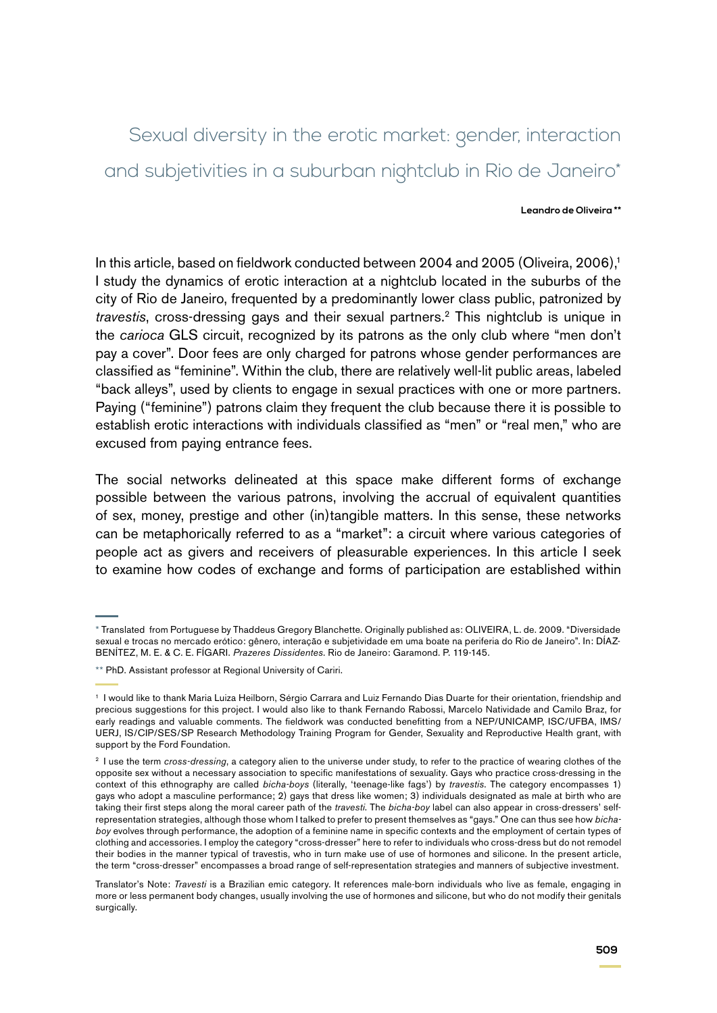#### **Leandro de Oliveira \*\***

In this article, based on fieldwork conducted between 2004 and 2005 (Oliveira, 2006).<sup>1</sup> I study the dynamics of erotic interaction at a nightclub located in the suburbs of the city of Rio de Janeiro, frequented by a predominantly lower class public, patronized by *travestis*, cross-dressing gays and their sexual partners.2 This nightclub is unique in the *carioca* GLS circuit, recognized by its patrons as the only club where "men don't pay a cover". Door fees are only charged for patrons whose gender performances are classified as "feminine". Within the club, there are relatively well-lit public areas, labeled "back alleys", used by clients to engage in sexual practices with one or more partners. Paying ("feminine") patrons claim they frequent the club because there it is possible to establish erotic interactions with individuals classified as "men" or "real men," who are excused from paying entrance fees.

The social networks delineated at this space make different forms of exchange possible between the various patrons, involving the accrual of equivalent quantities of sex, money, prestige and other (in)tangible matters. In this sense, these networks can be metaphorically referred to as a "market": a circuit where various categories of people act as givers and receivers of pleasurable experiences. In this article I seek to examine how codes of exchange and forms of participation are established within

<sup>\*</sup> Translated from Portuguese by Thaddeus Gregory Blanchette. Originally published as: OLIVEIRA, L. de. 2009. "Diversidade sexual e trocas no mercado erótico: gênero, interação e subjetividade em uma boate na periferia do Rio de Janeiro". In: DÍAZ-BENÍTEZ, M. E. & C. E. FÍGARI. *Prazeres Dissidentes*. Rio de Janeiro: Garamond. P. 119-145.

<sup>\*\*</sup> PhD. Assistant professor at Regional University of Cariri.

<sup>1</sup> I would like to thank Maria Luiza Heilborn, Sérgio Carrara and Luiz Fernando Dias Duarte for their orientation, friendship and precious suggestions for this project. I would also like to thank Fernando Rabossi, Marcelo Natividade and Camilo Braz, for early readings and valuable comments. The fieldwork was conducted benefitting from a NEP/UNICAMP, ISC/UFBA, IMS/ UERJ, IS/CIP/SES/SP Research Methodology Training Program for Gender, Sexuality and Reproductive Health grant, with support by the Ford Foundation.

<sup>&</sup>lt;sup>2</sup> I use the term *cross-dressing*, a category alien to the universe under study, to refer to the practice of wearing clothes of the opposite sex without a necessary association to specific manifestations of sexuality. Gays who practice cross-dressing in the context of this ethnography are called *bicha-boys* (literally, 'teenage-like fags') by *travestis*. The category encompasses 1) gays who adopt a masculine performance; 2) gays that dress like women; 3) individuals designated as male at birth who are taking their first steps along the moral career path of the *travesti*. The *bicha-boy* label can also appear in cross-dressers' selfrepresentation strategies, although those whom I talked to prefer to present themselves as "gays." One can thus see how *bichaboy* evolves through performance, the adoption of a feminine name in specific contexts and the employment of certain types of clothing and accessories. I employ the category "cross-dresser" here to refer to individuals who cross-dress but do not remodel their bodies in the manner typical of travestis, who in turn make use of use of hormones and silicone. In the present article, the term "cross-dresser" encompasses a broad range of self-representation strategies and manners of subjective investment.

Translator's Note: *Travesti* is a Brazilian emic category. It references male-born individuals who live as female, engaging in more or less permanent body changes, usually involving the use of hormones and silicone, but who do not modify their genitals surgically.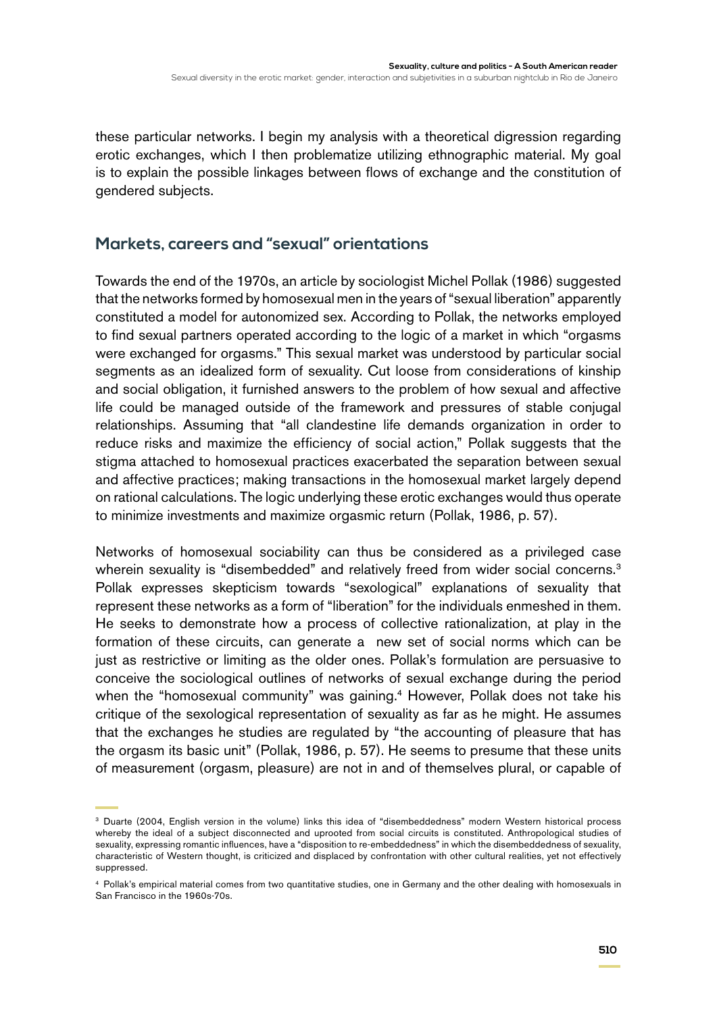these particular networks. I begin my analysis with a theoretical digression regarding erotic exchanges, which I then problematize utilizing ethnographic material. My goal is to explain the possible linkages between flows of exchange and the constitution of gendered subjects.

# **Markets, careers and "sexual" orientations**

Towards the end of the 1970s, an article by sociologist Michel Pollak (1986) suggested that the networks formed by homosexual men in the years of "sexual liberation" apparently constituted a model for autonomized sex. According to Pollak, the networks employed to find sexual partners operated according to the logic of a market in which "orgasms were exchanged for orgasms." This sexual market was understood by particular social segments as an idealized form of sexuality. Cut loose from considerations of kinship and social obligation, it furnished answers to the problem of how sexual and affective life could be managed outside of the framework and pressures of stable conjugal relationships. Assuming that "all clandestine life demands organization in order to reduce risks and maximize the efficiency of social action," Pollak suggests that the stigma attached to homosexual practices exacerbated the separation between sexual and affective practices; making transactions in the homosexual market largely depend on rational calculations. The logic underlying these erotic exchanges would thus operate to minimize investments and maximize orgasmic return (Pollak, 1986, p. 57).

Networks of homosexual sociability can thus be considered as a privileged case wherein sexuality is "disembedded" and relatively freed from wider social concerns.<sup>3</sup> Pollak expresses skepticism towards "sexological" explanations of sexuality that represent these networks as a form of "liberation" for the individuals enmeshed in them. He seeks to demonstrate how a process of collective rationalization, at play in the formation of these circuits, can generate a new set of social norms which can be just as restrictive or limiting as the older ones. Pollak's formulation are persuasive to conceive the sociological outlines of networks of sexual exchange during the period when the "homosexual community" was gaining.<sup>4</sup> However, Pollak does not take his critique of the sexological representation of sexuality as far as he might. He assumes that the exchanges he studies are regulated by "the accounting of pleasure that has the orgasm its basic unit" (Pollak, 1986, p. 57). He seems to presume that these units of measurement (orgasm, pleasure) are not in and of themselves plural, or capable of

<sup>3</sup> Duarte (2004, English version in the volume) links this idea of "disembeddedness" modern Western historical process whereby the ideal of a subject disconnected and uprooted from social circuits is constituted. Anthropological studies of sexuality, expressing romantic influences, have a "disposition to re-embeddedness" in which the disembeddedness of sexuality, characteristic of Western thought, is criticized and displaced by confrontation with other cultural realities, yet not effectively suppressed.

<sup>4</sup> Pollak's empirical material comes from two quantitative studies, one in Germany and the other dealing with homosexuals in San Francisco in the 1960s-70s.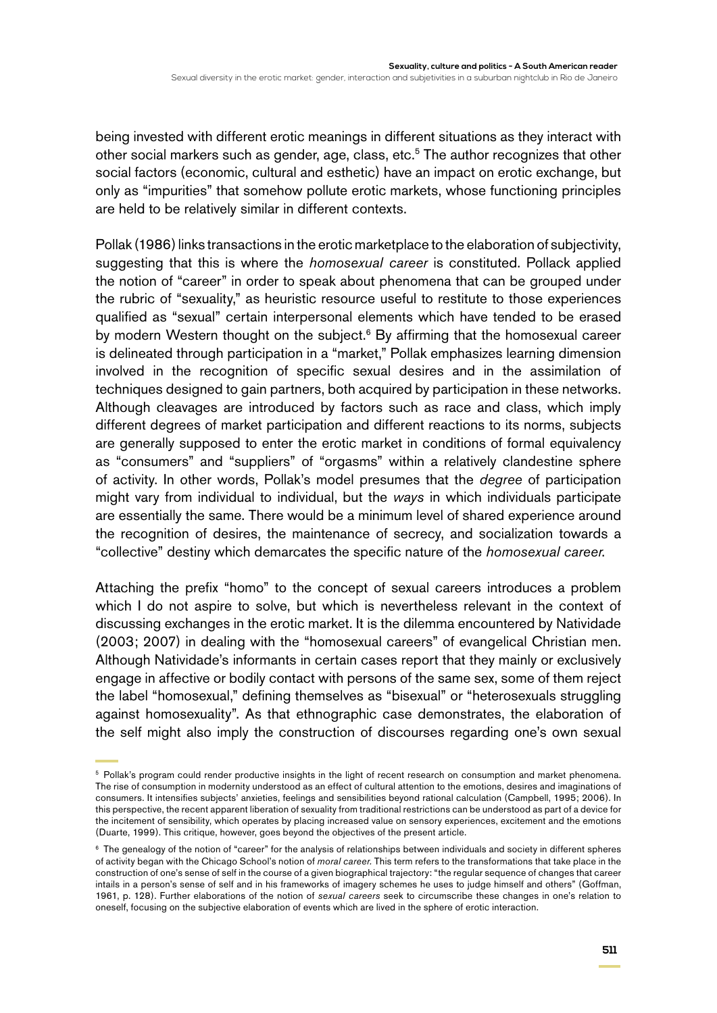being invested with different erotic meanings in different situations as they interact with other social markers such as gender, age, class, etc.<sup>5</sup> The author recognizes that other social factors (economic, cultural and esthetic) have an impact on erotic exchange, but only as "impurities" that somehow pollute erotic markets, whose functioning principles are held to be relatively similar in different contexts.

Pollak (1986) links transactions in the erotic marketplace to the elaboration of subjectivity, suggesting that this is where the *homosexual career* is constituted. Pollack applied the notion of "career" in order to speak about phenomena that can be grouped under the rubric of "sexuality," as heuristic resource useful to restitute to those experiences qualified as "sexual" certain interpersonal elements which have tended to be erased by modern Western thought on the subject.<sup>6</sup> By affirming that the homosexual career is delineated through participation in a "market," Pollak emphasizes learning dimension involved in the recognition of specific sexual desires and in the assimilation of techniques designed to gain partners, both acquired by participation in these networks. Although cleavages are introduced by factors such as race and class, which imply different degrees of market participation and different reactions to its norms, subjects are generally supposed to enter the erotic market in conditions of formal equivalency as "consumers" and "suppliers" of "orgasms" within a relatively clandestine sphere of activity. In other words, Pollak's model presumes that the *degree* of participation might vary from individual to individual, but the *ways* in which individuals participate are essentially the same. There would be a minimum level of shared experience around the recognition of desires, the maintenance of secrecy, and socialization towards a "collective" destiny which demarcates the specific nature of the *homosexual career*.

Attaching the prefix "homo" to the concept of sexual careers introduces a problem which I do not aspire to solve, but which is nevertheless relevant in the context of discussing exchanges in the erotic market. It is the dilemma encountered by Natividade (2003; 2007) in dealing with the "homosexual careers" of evangelical Christian men. Although Natividade's informants in certain cases report that they mainly or exclusively engage in affective or bodily contact with persons of the same sex, some of them reject the label "homosexual," defining themselves as "bisexual" or "heterosexuals struggling against homosexuality". As that ethnographic case demonstrates, the elaboration of the self might also imply the construction of discourses regarding one's own sexual

<sup>&</sup>lt;sup>5</sup> Pollak's program could render productive insights in the light of recent research on consumption and market phenomena. The rise of consumption in modernity understood as an effect of cultural attention to the emotions, desires and imaginations of consumers. It intensifies subjects' anxieties, feelings and sensibilities beyond rational calculation (Campbell, 1995; 2006). In this perspective, the recent apparent liberation of sexuality from traditional restrictions can be understood as part of a device for the incitement of sensibility, which operates by placing increased value on sensory experiences, excitement and the emotions (Duarte, 1999). This critique, however, goes beyond the objectives of the present article.

<sup>6</sup> The genealogy of the notion of "career" for the analysis of relationships between individuals and society in different spheres of activity began with the Chicago School's notion of *moral career.* This term refers to the transformations that take place in the construction of one's sense of self in the course of a given biographical trajectory: "the regular sequence of changes that career intails in a person's sense of self and in his frameworks of imagery schemes he uses to judge himself and others" (Goffman, 1961, p. 128). Further elaborations of the notion of *sexual careers* seek to circumscribe these changes in one's relation to oneself, focusing on the subjective elaboration of events which are lived in the sphere of erotic interaction.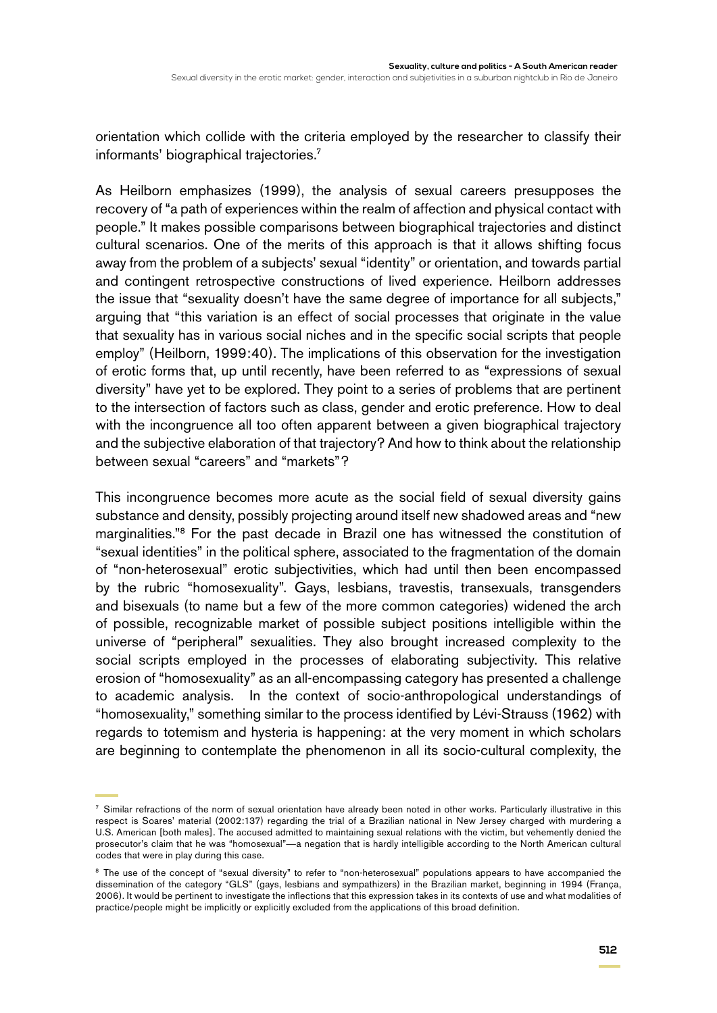orientation which collide with the criteria employed by the researcher to classify their informants' biographical trajectories.7

As Heilborn emphasizes (1999), the analysis of sexual careers presupposes the recovery of "a path of experiences within the realm of affection and physical contact with people." It makes possible comparisons between biographical trajectories and distinct cultural scenarios. One of the merits of this approach is that it allows shifting focus away from the problem of a subjects' sexual "identity" or orientation, and towards partial and contingent retrospective constructions of lived experience. Heilborn addresses the issue that "sexuality doesn't have the same degree of importance for all subjects," arguing that "this variation is an effect of social processes that originate in the value that sexuality has in various social niches and in the specific social scripts that people employ" (Heilborn, 1999:40). The implications of this observation for the investigation of erotic forms that, up until recently, have been referred to as "expressions of sexual diversity" have yet to be explored. They point to a series of problems that are pertinent to the intersection of factors such as class, gender and erotic preference. How to deal with the incongruence all too often apparent between a given biographical trajectory and the subjective elaboration of that trajectory? And how to think about the relationship between sexual "careers" and "markets"?

This incongruence becomes more acute as the social field of sexual diversity gains substance and density, possibly projecting around itself new shadowed areas and "new marginalities."8 For the past decade in Brazil one has witnessed the constitution of "sexual identities" in the political sphere, associated to the fragmentation of the domain of "non-heterosexual" erotic subjectivities, which had until then been encompassed by the rubric "homosexuality". Gays, lesbians, travestis, transexuals, transgenders and bisexuals (to name but a few of the more common categories) widened the arch of possible, recognizable market of possible subject positions intelligible within the universe of "peripheral" sexualities. They also brought increased complexity to the social scripts employed in the processes of elaborating subjectivity. This relative erosion of "homosexuality" as an all-encompassing category has presented a challenge to academic analysis. In the context of socio-anthropological understandings of "homosexuality," something similar to the process identified by Lévi-Strauss (1962) with regards to totemism and hysteria is happening: at the very moment in which scholars are beginning to contemplate the phenomenon in all its socio-cultural complexity, the

<sup>7</sup> Similar refractions of the norm of sexual orientation have already been noted in other works. Particularly illustrative in this respect is Soares' material (2002:137) regarding the trial of a Brazilian national in New Jersey charged with murdering a U.S. American [both males]. The accused admitted to maintaining sexual relations with the victim, but vehemently denied the prosecutor's claim that he was "homosexual"—a negation that is hardly intelligible according to the North American cultural codes that were in play during this case.

<sup>&</sup>lt;sup>8</sup> The use of the concept of "sexual diversity" to refer to "non-heterosexual" populations appears to have accompanied the dissemination of the category "GLS" (gays, lesbians and sympathizers) in the Brazilian market, beginning in 1994 (França, 2006). It would be pertinent to investigate the inflections that this expression takes in its contexts of use and what modalities of practice/people might be implicitly or explicitly excluded from the applications of this broad definition.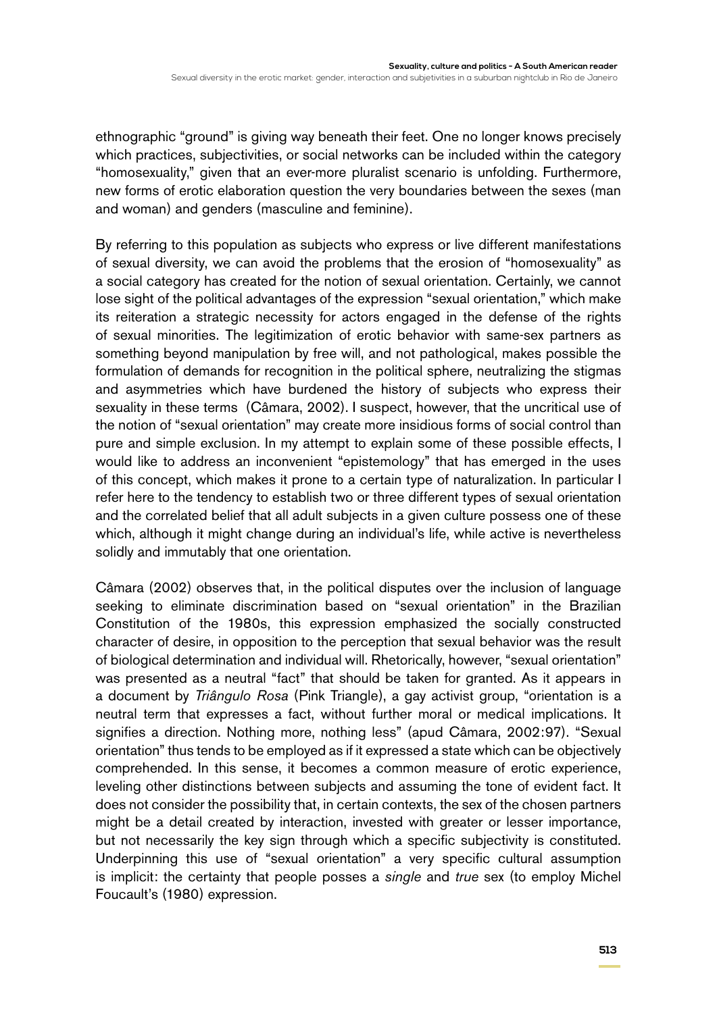ethnographic "ground" is giving way beneath their feet. One no longer knows precisely which practices, subjectivities, or social networks can be included within the category "homosexuality," given that an ever-more pluralist scenario is unfolding. Furthermore, new forms of erotic elaboration question the very boundaries between the sexes (man and woman) and genders (masculine and feminine).

By referring to this population as subjects who express or live different manifestations of sexual diversity, we can avoid the problems that the erosion of "homosexuality" as a social category has created for the notion of sexual orientation. Certainly, we cannot lose sight of the political advantages of the expression "sexual orientation," which make its reiteration a strategic necessity for actors engaged in the defense of the rights of sexual minorities. The legitimization of erotic behavior with same-sex partners as something beyond manipulation by free will, and not pathological, makes possible the formulation of demands for recognition in the political sphere, neutralizing the stigmas and asymmetries which have burdened the history of subjects who express their sexuality in these terms (Câmara, 2002). I suspect, however, that the uncritical use of the notion of "sexual orientation" may create more insidious forms of social control than pure and simple exclusion. In my attempt to explain some of these possible effects, I would like to address an inconvenient "epistemology" that has emerged in the uses of this concept, which makes it prone to a certain type of naturalization. In particular I refer here to the tendency to establish two or three different types of sexual orientation and the correlated belief that all adult subjects in a given culture possess one of these which, although it might change during an individual's life, while active is nevertheless solidly and immutably that one orientation.

Câmara (2002) observes that, in the political disputes over the inclusion of language seeking to eliminate discrimination based on "sexual orientation" in the Brazilian Constitution of the 1980s, this expression emphasized the socially constructed character of desire, in opposition to the perception that sexual behavior was the result of biological determination and individual will. Rhetorically, however, "sexual orientation" was presented as a neutral "fact" that should be taken for granted. As it appears in a document by *Triângulo Rosa* (Pink Triangle), a gay activist group, "orientation is a neutral term that expresses a fact, without further moral or medical implications. It signifies a direction. Nothing more, nothing less" (apud Câmara, 2002:97). "Sexual orientation" thus tends to be employed as if it expressed a state which can be objectively comprehended. In this sense, it becomes a common measure of erotic experience, leveling other distinctions between subjects and assuming the tone of evident fact. It does not consider the possibility that, in certain contexts, the sex of the chosen partners might be a detail created by interaction, invested with greater or lesser importance, but not necessarily the key sign through which a specific subjectivity is constituted. Underpinning this use of "sexual orientation" a very specific cultural assumption is implicit: the certainty that people posses a *single* and *true* sex (to employ Michel Foucault's (1980) expression.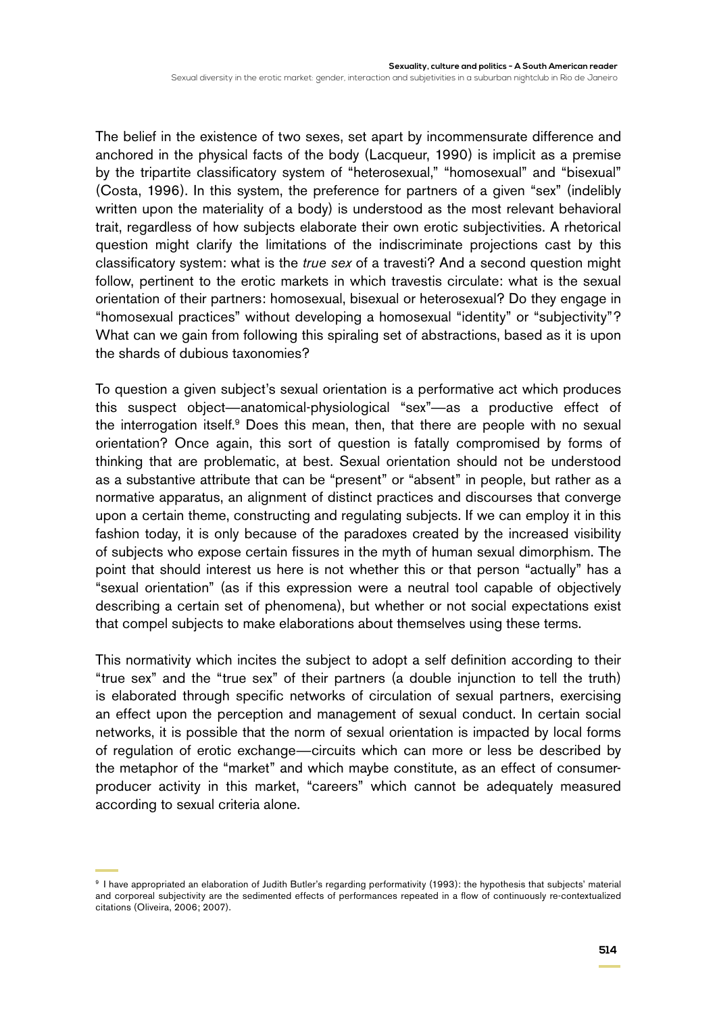The belief in the existence of two sexes, set apart by incommensurate difference and anchored in the physical facts of the body (Lacqueur, 1990) is implicit as a premise by the tripartite classificatory system of "heterosexual," "homosexual" and "bisexual" (Costa, 1996). In this system, the preference for partners of a given "sex" (indelibly written upon the materiality of a body) is understood as the most relevant behavioral trait, regardless of how subjects elaborate their own erotic subjectivities. A rhetorical question might clarify the limitations of the indiscriminate projections cast by this classificatory system: what is the *true sex* of a travesti? And a second question might follow, pertinent to the erotic markets in which travestis circulate: what is the sexual orientation of their partners: homosexual, bisexual or heterosexual? Do they engage in "homosexual practices" without developing a homosexual "identity" or "subjectivity"? What can we gain from following this spiraling set of abstractions, based as it is upon the shards of dubious taxonomies?

To question a given subject's sexual orientation is a performative act which produces this suspect object—anatomical-physiological "sex"—as a productive effect of the interrogation itself.<sup>9</sup> Does this mean, then, that there are people with no sexual orientation? Once again, this sort of question is fatally compromised by forms of thinking that are problematic, at best. Sexual orientation should not be understood as a substantive attribute that can be "present" or "absent" in people, but rather as a normative apparatus, an alignment of distinct practices and discourses that converge upon a certain theme, constructing and regulating subjects. If we can employ it in this fashion today, it is only because of the paradoxes created by the increased visibility of subjects who expose certain fissures in the myth of human sexual dimorphism. The point that should interest us here is not whether this or that person "actually" has a "sexual orientation" (as if this expression were a neutral tool capable of objectively describing a certain set of phenomena), but whether or not social expectations exist that compel subjects to make elaborations about themselves using these terms.

This normativity which incites the subject to adopt a self definition according to their "true sex" and the "true sex" of their partners (a double injunction to tell the truth) is elaborated through specific networks of circulation of sexual partners, exercising an effect upon the perception and management of sexual conduct. In certain social networks, it is possible that the norm of sexual orientation is impacted by local forms of regulation of erotic exchange—circuits which can more or less be described by the metaphor of the "market" and which maybe constitute, as an effect of consumerproducer activity in this market, "careers" which cannot be adequately measured according to sexual criteria alone.

<sup>9</sup> I have appropriated an elaboration of Judith Butler's regarding performativity (1993): the hypothesis that subjects' material and corporeal subjectivity are the sedimented effects of performances repeated in a flow of continuously re-contextualized citations (Oliveira, 2006; 2007).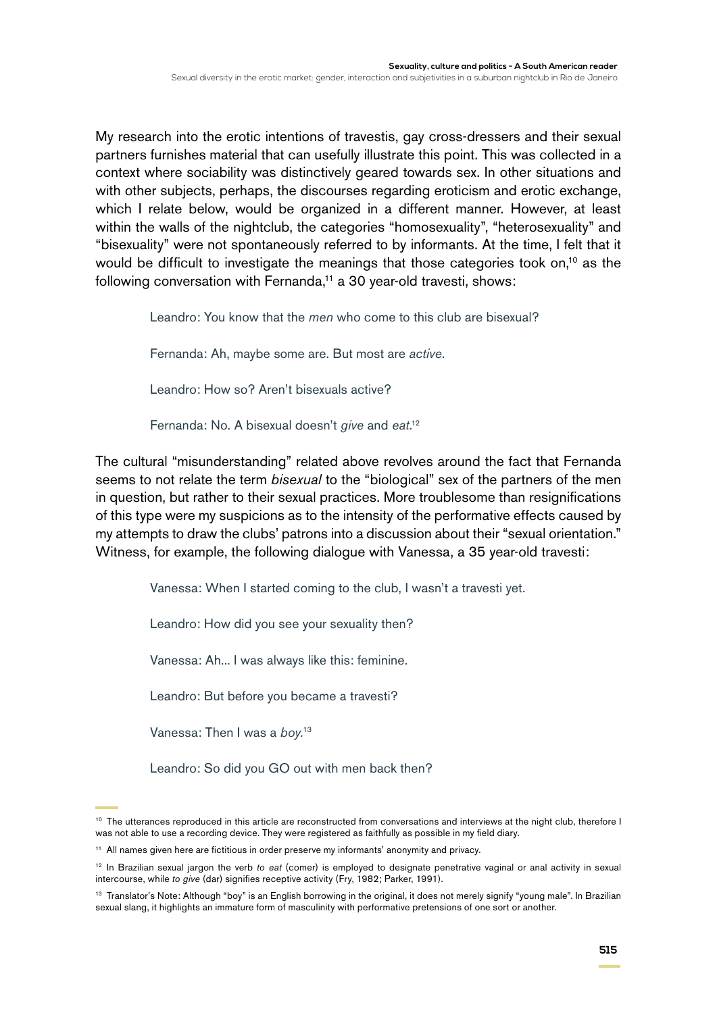My research into the erotic intentions of travestis, gay cross-dressers and their sexual partners furnishes material that can usefully illustrate this point. This was collected in a context where sociability was distinctively geared towards sex. In other situations and with other subjects, perhaps, the discourses regarding eroticism and erotic exchange, which I relate below, would be organized in a different manner. However, at least within the walls of the nightclub, the categories "homosexuality", "heterosexuality" and "bisexuality" were not spontaneously referred to by informants. At the time, I felt that it would be difficult to investigate the meanings that those categories took on,<sup>10</sup> as the following conversation with Fernanda,<sup>11</sup> a 30 year-old travesti, shows:

Leandro: You know that the *men* who come to this club are bisexual?

Fernanda: Ah, maybe some are. But most are *active*.

Leandro: How so? Aren't bisexuals active?

Fernanda: No. A bisexual doesn't *give* and *eat*. 12

The cultural "misunderstanding" related above revolves around the fact that Fernanda seems to not relate the term *bisexual* to the "biological" sex of the partners of the men in question, but rather to their sexual practices. More troublesome than resignifications of this type were my suspicions as to the intensity of the performative effects caused by my attempts to draw the clubs' patrons into a discussion about their "sexual orientation." Witness, for example, the following dialogue with Vanessa, a 35 year-old travesti:

Vanessa: When I started coming to the club, I wasn't a travesti yet.

Leandro: How did you see your sexuality then?

Vanessa: Ah... I was always like this: feminine.

Leandro: But before you became a travesti?

Vanessa: Then I was a *boy.*<sup>13</sup>

Leandro: So did you GO out with men back then?

<sup>&</sup>lt;sup>10</sup> The utterances reproduced in this article are reconstructed from conversations and interviews at the night club, therefore I was not able to use a recording device. They were registered as faithfully as possible in my field diary.

<sup>11</sup> All names given here are fictitious in order preserve my informants' anonymity and privacy.

<sup>12</sup> In Brazilian sexual jargon the verb *to eat* (comer) is employed to designate penetrative vaginal or anal activity in sexual intercourse, while *to give* (dar) signifies receptive activity (Fry, 1982; Parker, 1991).

<sup>&</sup>lt;sup>13</sup> Translator's Note: Although "boy" is an English borrowing in the original, it does not merely signify "young male". In Brazilian sexual slang, it highlights an immature form of masculinity with performative pretensions of one sort or another.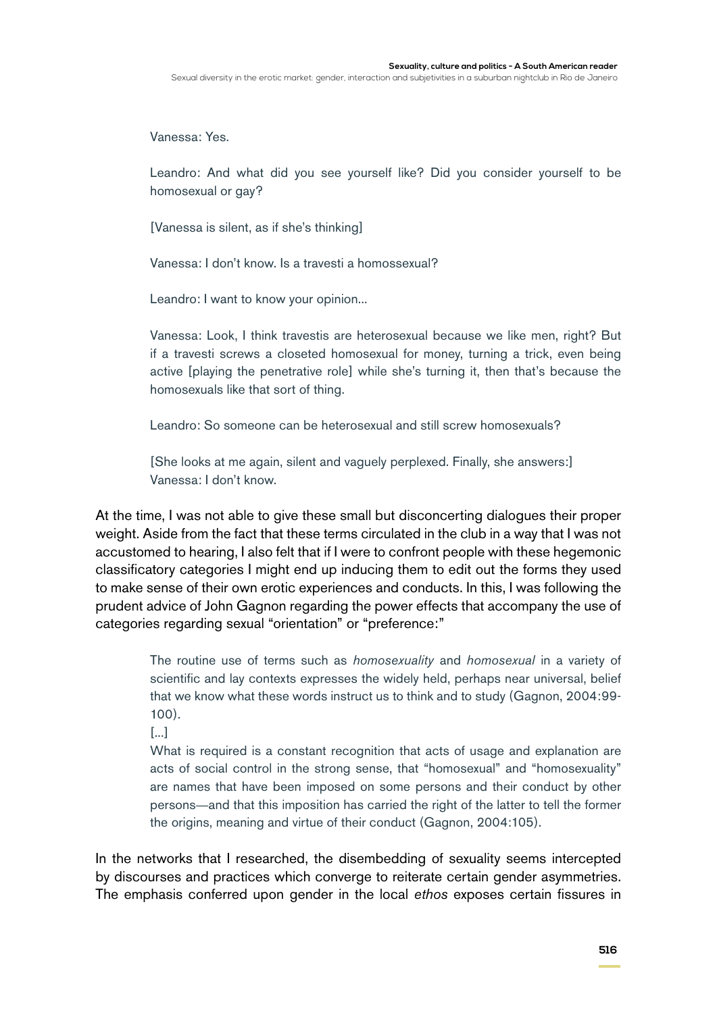Vanessa: Yes.

Leandro: And what did you see yourself like? Did you consider yourself to be homosexual or gay?

[Vanessa is silent, as if she's thinking]

Vanessa: I don't know. Is a travesti a homossexual?

Leandro: I want to know your opinion...

Vanessa: Look, I think travestis are heterosexual because we like men, right? But if a travesti screws a closeted homosexual for money, turning a trick, even being active [playing the penetrative role] while she's turning it, then that's because the homosexuals like that sort of thing.

Leandro: So someone can be heterosexual and still screw homosexuals?

[She looks at me again, silent and vaguely perplexed. Finally, she answers:] Vanessa: I don't know.

At the time, I was not able to give these small but disconcerting dialogues their proper weight. Aside from the fact that these terms circulated in the club in a way that I was not accustomed to hearing, I also felt that if I were to confront people with these hegemonic classificatory categories I might end up inducing them to edit out the forms they used to make sense of their own erotic experiences and conducts. In this, I was following the prudent advice of John Gagnon regarding the power effects that accompany the use of categories regarding sexual "orientation" or "preference:"

> The routine use of terms such as *homosexuality* and *homosexual* in a variety of scientific and lay contexts expresses the widely held, perhaps near universal, belief that we know what these words instruct us to think and to study (Gagnon, 2004:99- 100).

[...]

What is required is a constant recognition that acts of usage and explanation are acts of social control in the strong sense, that "homosexual" and "homosexuality" are names that have been imposed on some persons and their conduct by other persons—and that this imposition has carried the right of the latter to tell the former the origins, meaning and virtue of their conduct (Gagnon, 2004:105).

In the networks that I researched, the disembedding of sexuality seems intercepted by discourses and practices which converge to reiterate certain gender asymmetries. The emphasis conferred upon gender in the local *ethos* exposes certain fissures in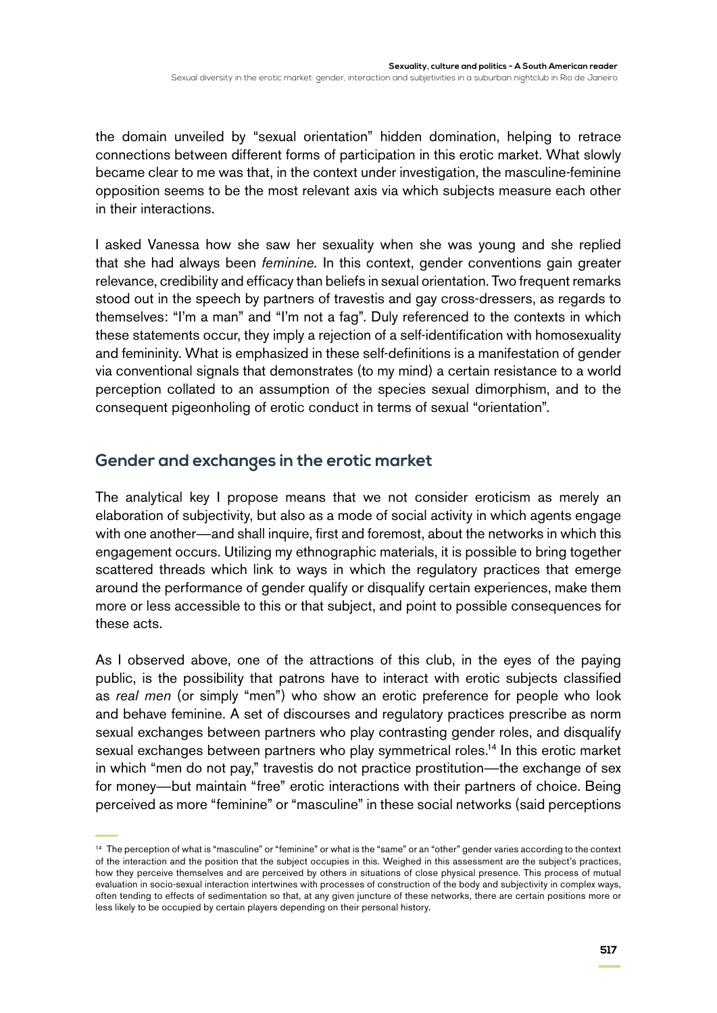the domain unveiled by "sexual orientation" hidden domination, helping to retrace connections between different forms of participation in this erotic market. What slowly became clear to me was that, in the context under investigation, the masculine-feminine opposition seems to be the most relevant axis via which subjects measure each other in their interactions.

I asked Vanessa how she saw her sexuality when she was young and she replied that she had always been *feminine.* In this context, gender conventions gain greater relevance, credibility and efficacy than beliefs in sexual orientation. Two frequent remarks stood out in the speech by partners of travestis and gay cross-dressers, as regards to themselves: "I'm a man" and "I'm not a fag". Duly referenced to the contexts in which these statements occur, they imply a rejection of a self-identification with homosexuality and femininity. What is emphasized in these self-definitions is a manifestation of gender via conventional signals that demonstrates (to my mind) a certain resistance to a world perception collated to an assumption of the species sexual dimorphism, and to the consequent pigeonholing of erotic conduct in terms of sexual "orientation".

# **Gender and exchanges in the erotic market**

The analytical key I propose means that we not consider eroticism as merely an elaboration of subjectivity, but also as a mode of social activity in which agents engage with one another—and shall inquire, first and foremost, about the networks in which this engagement occurs. Utilizing my ethnographic materials, it is possible to bring together scattered threads which link to ways in which the regulatory practices that emerge around the performance of gender qualify or disqualify certain experiences, make them more or less accessible to this or that subject, and point to possible consequences for these acts.

As I observed above, one of the attractions of this club, in the eyes of the paying public, is the possibility that patrons have to interact with erotic subjects classified as *real men* (or simply "men") who show an erotic preference for people who look and behave feminine. A set of discourses and regulatory practices prescribe as norm sexual exchanges between partners who play contrasting gender roles, and disqualify sexual exchanges between partners who play symmetrical roles.<sup>14</sup> In this erotic market in which "men do not pay," travestis do not practice prostitution—the exchange of sex for money—but maintain "free" erotic interactions with their partners of choice. Being perceived as more "feminine" or "masculine" in these social networks (said perceptions

<sup>&</sup>lt;sup>14</sup> The perception of what is "masculine" or "feminine" or what is the "same" or an "other" gender varies according to the context of the interaction and the position that the subject occupies in this. Weighed in this assessment are the subject's practices, how they perceive themselves and are perceived by others in situations of close physical presence. This process of mutual evaluation in socio-sexual interaction intertwines with processes of construction of the body and subjectivity in complex ways, often tending to effects of sedimentation so that, at any given juncture of these networks, there are certain positions more or less likely to be occupied by certain players depending on their personal history.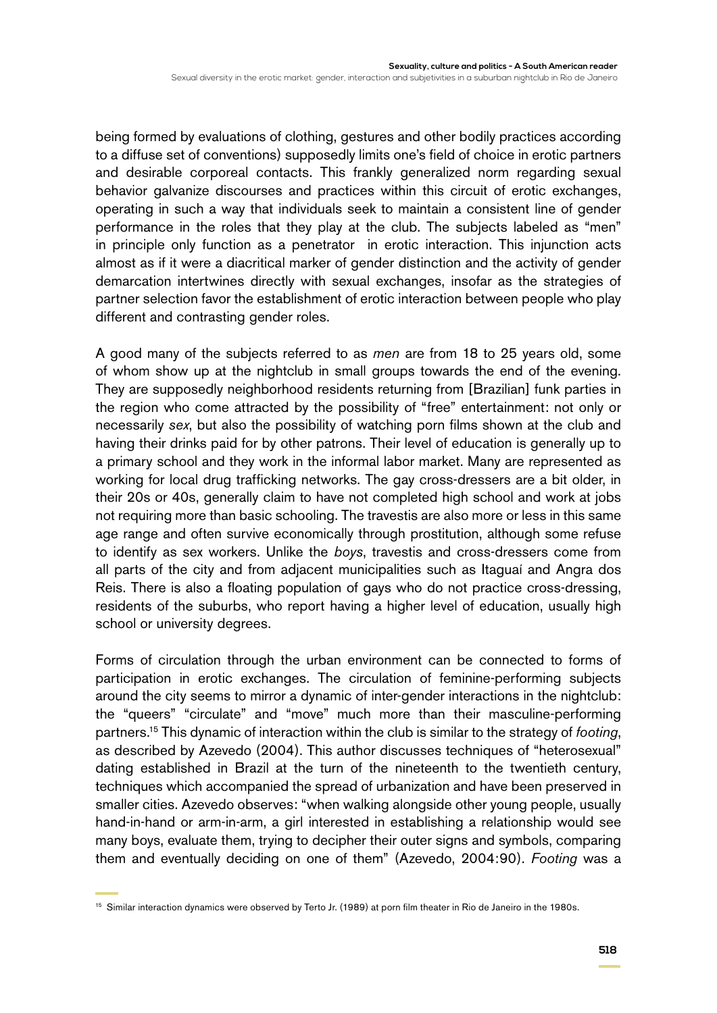being formed by evaluations of clothing, gestures and other bodily practices according to a diffuse set of conventions) supposedly limits one's field of choice in erotic partners and desirable corporeal contacts. This frankly generalized norm regarding sexual behavior galvanize discourses and practices within this circuit of erotic exchanges, operating in such a way that individuals seek to maintain a consistent line of gender performance in the roles that they play at the club. The subjects labeled as "men" in principle only function as a penetrator in erotic interaction. This injunction acts almost as if it were a diacritical marker of gender distinction and the activity of gender demarcation intertwines directly with sexual exchanges, insofar as the strategies of partner selection favor the establishment of erotic interaction between people who play different and contrasting gender roles.

A good many of the subjects referred to as *men* are from 18 to 25 years old, some of whom show up at the nightclub in small groups towards the end of the evening. They are supposedly neighborhood residents returning from [Brazilian] funk parties in the region who come attracted by the possibility of "free" entertainment: not only or necessarily *sex*, but also the possibility of watching porn films shown at the club and having their drinks paid for by other patrons. Their level of education is generally up to a primary school and they work in the informal labor market. Many are represented as working for local drug trafficking networks. The gay cross-dressers are a bit older, in their 20s or 40s, generally claim to have not completed high school and work at jobs not requiring more than basic schooling. The travestis are also more or less in this same age range and often survive economically through prostitution, although some refuse to identify as sex workers. Unlike the *boys*, travestis and cross-dressers come from all parts of the city and from adjacent municipalities such as Itaguaí and Angra dos Reis. There is also a floating population of gays who do not practice cross-dressing, residents of the suburbs, who report having a higher level of education, usually high school or university degrees.

Forms of circulation through the urban environment can be connected to forms of participation in erotic exchanges. The circulation of feminine-performing subjects around the city seems to mirror a dynamic of inter-gender interactions in the nightclub: the "queers" "circulate" and "move" much more than their masculine-performing partners.15 This dynamic of interaction within the club is similar to the strategy of *footing*, as described by Azevedo (2004). This author discusses techniques of "heterosexual" dating established in Brazil at the turn of the nineteenth to the twentieth century, techniques which accompanied the spread of urbanization and have been preserved in smaller cities. Azevedo observes: "when walking alongside other young people, usually hand-in-hand or arm-in-arm, a girl interested in establishing a relationship would see many boys, evaluate them, trying to decipher their outer signs and symbols, comparing them and eventually deciding on one of them" (Azevedo, 2004:90). *Footing* was a

<sup>&</sup>lt;sup>15</sup> Similar interaction dynamics were observed by Terto Jr. (1989) at porn film theater in Rio de Janeiro in the 1980s.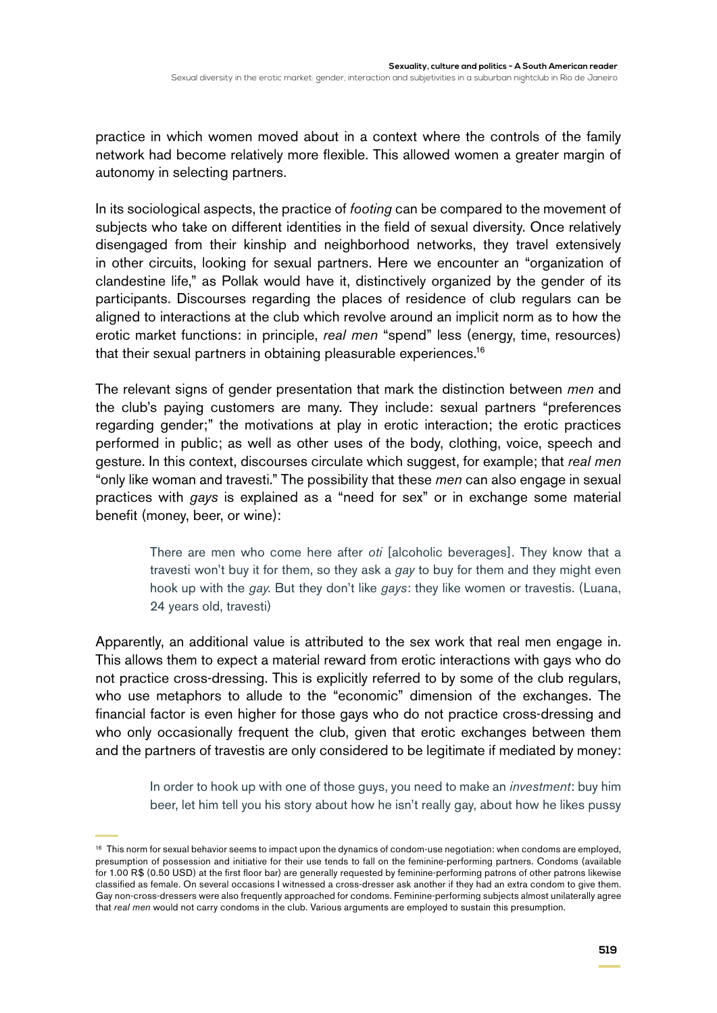practice in which women moved about in a context where the controls of the family network had become relatively more flexible. This allowed women a greater margin of autonomy in selecting partners.

In its sociological aspects, the practice of *footing* can be compared to the movement of subjects who take on different identities in the field of sexual diversity. Once relatively disengaged from their kinship and neighborhood networks, they travel extensively in other circuits, looking for sexual partners. Here we encounter an "organization of clandestine life," as Pollak would have it, distinctively organized by the gender of its participants. Discourses regarding the places of residence of club regulars can be aligned to interactions at the club which revolve around an implicit norm as to how the erotic market functions: in principle, *real men* "spend" less (energy, time, resources) that their sexual partners in obtaining pleasurable experiences.16

The relevant signs of gender presentation that mark the distinction between *men* and the club's paying customers are many. They include: sexual partners "preferences regarding gender;" the motivations at play in erotic interaction; the erotic practices performed in public; as well as other uses of the body, clothing, voice, speech and gesture. In this context, discourses circulate which suggest, for example; that *real men* "only like woman and travesti." The possibility that these *men* can also engage in sexual practices with *gays* is explained as a "need for sex" or in exchange some material benefit (money, beer, or wine):

> There are men who come here after *oti* [alcoholic beverages]. They know that a travesti won't buy it for them, so they ask a *gay* to buy for them and they might even hook up with the *gay*. But they don't like *gays*: they like women or travestis. (Luana, 24 years old, travesti)

Apparently, an additional value is attributed to the sex work that real men engage in. This allows them to expect a material reward from erotic interactions with gays who do not practice cross-dressing. This is explicitly referred to by some of the club regulars, who use metaphors to allude to the "economic" dimension of the exchanges. The financial factor is even higher for those gays who do not practice cross-dressing and who only occasionally frequent the club, given that erotic exchanges between them and the partners of travestis are only considered to be legitimate if mediated by money:

> In order to hook up with one of those guys, you need to make an *investment*: buy him beer, let him tell you his story about how he isn't really gay, about how he likes pussy

<sup>&</sup>lt;sup>16</sup> This norm for sexual behavior seems to impact upon the dynamics of condom-use negotiation: when condoms are employed, presumption of possession and initiative for their use tends to fall on the feminine-performing partners. Condoms (available for 1.00 R\$ (0.50 USD) at the first floor bar) are generally requested by feminine-performing patrons of other patrons likewise classified as female. On several occasions I witnessed a cross-dresser ask another if they had an extra condom to give them. Gay non-cross-dressers were also frequently approached for condoms. Feminine-performing subjects almost unilaterally agree that *real men* would not carry condoms in the club. Various arguments are employed to sustain this presumption.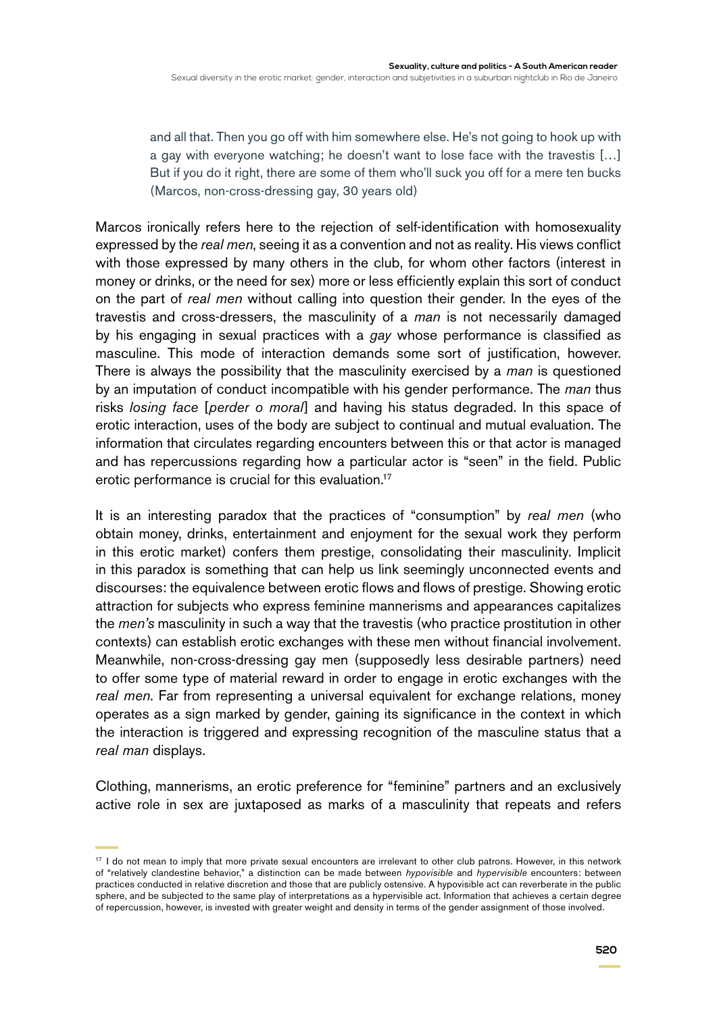and all that. Then you go off with him somewhere else. He's not going to hook up with a gay with everyone watching; he doesn't want to lose face with the travestis […] But if you do it right, there are some of them who'll suck you off for a mere ten bucks (Marcos, non-cross-dressing gay, 30 years old)

Marcos ironically refers here to the rejection of self-identification with homosexuality expressed by the *real men*, seeing it as a convention and not as reality. His views conflict with those expressed by many others in the club, for whom other factors (interest in money or drinks, or the need for sex) more or less efficiently explain this sort of conduct on the part of *real men* without calling into question their gender. In the eyes of the travestis and cross-dressers, the masculinity of a *man* is not necessarily damaged by his engaging in sexual practices with a *gay* whose performance is classified as masculine. This mode of interaction demands some sort of justification, however. There is always the possibility that the masculinity exercised by a *man* is questioned by an imputation of conduct incompatible with his gender performance. The *man* thus risks *losing face* [*perder o moral*] and having his status degraded. In this space of erotic interaction, uses of the body are subject to continual and mutual evaluation. The information that circulates regarding encounters between this or that actor is managed and has repercussions regarding how a particular actor is "seen" in the field. Public erotic performance is crucial for this evaluation.<sup>17</sup>

It is an interesting paradox that the practices of "consumption" by *real men* (who obtain money, drinks, entertainment and enjoyment for the sexual work they perform in this erotic market) confers them prestige, consolidating their masculinity. Implicit in this paradox is something that can help us link seemingly unconnected events and discourses: the equivalence between erotic flows and flows of prestige. Showing erotic attraction for subjects who express feminine mannerisms and appearances capitalizes the *men's* masculinity in such a way that the travestis (who practice prostitution in other contexts) can establish erotic exchanges with these men without financial involvement. Meanwhile, non-cross-dressing gay men (supposedly less desirable partners) need to offer some type of material reward in order to engage in erotic exchanges with the *real men*. Far from representing a universal equivalent for exchange relations, money operates as a sign marked by gender, gaining its significance in the context in which the interaction is triggered and expressing recognition of the masculine status that a *real man* displays.

Clothing, mannerisms, an erotic preference for "feminine" partners and an exclusively active role in sex are juxtaposed as marks of a masculinity that repeats and refers

<sup>&</sup>lt;sup>17</sup> I do not mean to imply that more private sexual encounters are irrelevant to other club patrons. However, in this network of "relatively clandestine behavior," a distinction can be made between *hypovisible* and *hypervisible* encounters: between practices conducted in relative discretion and those that are publicly ostensive. A hypovisible act can reverberate in the public sphere, and be subjected to the same play of interpretations as a hypervisible act. Information that achieves a certain degree of repercussion, however, is invested with greater weight and density in terms of the gender assignment of those involved.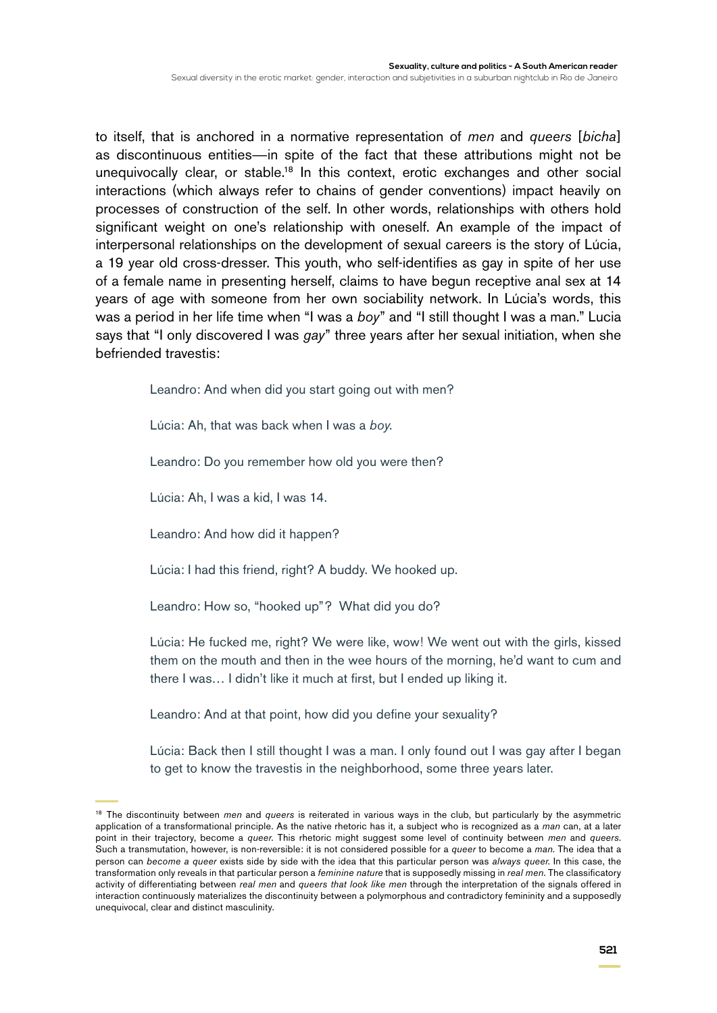to itself, that is anchored in a normative representation of *men* and *queers* [*bicha*] as discontinuous entities—in spite of the fact that these attributions might not be unequivocally clear, or stable.<sup>18</sup> In this context, erotic exchanges and other social interactions (which always refer to chains of gender conventions) impact heavily on processes of construction of the self. In other words, relationships with others hold significant weight on one's relationship with oneself. An example of the impact of interpersonal relationships on the development of sexual careers is the story of Lúcia, a 19 year old cross-dresser. This youth, who self-identifies as gay in spite of her use of a female name in presenting herself, claims to have begun receptive anal sex at 14 years of age with someone from her own sociability network. In Lúcia's words, this was a period in her life time when "I was a *boy*" and "I still thought I was a man." Lucia says that "I only discovered I was *gay*" three years after her sexual initiation, when she befriended travestis:

Leandro: And when did you start going out with men?

Lúcia: Ah, that was back when I was a *boy*.

Leandro: Do you remember how old you were then?

Lúcia: Ah, I was a kid, I was 14.

Leandro: And how did it happen?

Lúcia: I had this friend, right? A buddy. We hooked up.

Leandro: How so, "hooked up"? What did you do?

Lúcia: He fucked me, right? We were like, wow! We went out with the girls, kissed them on the mouth and then in the wee hours of the morning, he'd want to cum and there I was… I didn't like it much at first, but I ended up liking it.

Leandro: And at that point, how did you define your sexuality?

Lúcia: Back then I still thought I was a man. I only found out I was gay after I began to get to know the travestis in the neighborhood, some three years later.

<sup>18</sup> The discontinuity between *men* and *queers* is reiterated in various ways in the club, but particularly by the asymmetric application of a transformational principle. As the native rhetoric has it, a subject who is recognized as a *man* can, at a later point in their trajectory, become a *queer.* This rhetoric might suggest some level of continuity between *men* and *queers*. Such a transmutation, however, is non-reversible: it is not considered possible for a *queer* to become a *man*. The idea that a person can *become a queer* exists side by side with the idea that this particular person was *always queer*. In this case, the transformation only reveals in that particular person a *feminine nature* that is supposedly missing in *real men*. The classificatory activity of differentiating between *real men* and *queers that look like men* through the interpretation of the signals offered in interaction continuously materializes the discontinuity between a polymorphous and contradictory femininity and a supposedly unequivocal, clear and distinct masculinity.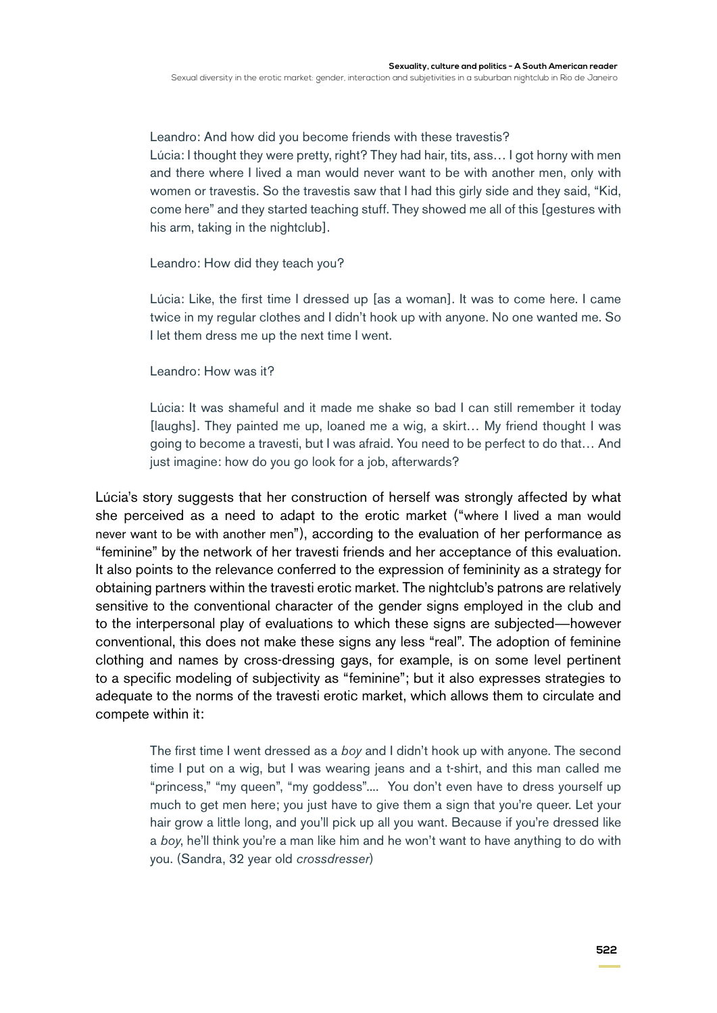Leandro: And how did you become friends with these travestis? Lúcia: I thought they were pretty, right? They had hair, tits, ass… I got horny with men and there where I lived a man would never want to be with another men, only with women or travestis. So the travestis saw that I had this girly side and they said, "Kid, come here" and they started teaching stuff. They showed me all of this [gestures with his arm, taking in the nightclub].

Leandro: How did they teach you?

Lúcia: Like, the first time I dressed up [as a woman]. It was to come here. I came twice in my regular clothes and I didn't hook up with anyone. No one wanted me. So I let them dress me up the next time I went.

Leandro: How was it?

Lúcia: It was shameful and it made me shake so bad I can still remember it today [laughs]. They painted me up, loaned me a wig, a skirt… My friend thought I was going to become a travesti, but I was afraid. You need to be perfect to do that… And just imagine: how do you go look for a job, afterwards?

Lúcia's story suggests that her construction of herself was strongly affected by what she perceived as a need to adapt to the erotic market ("where I lived a man would never want to be with another men"), according to the evaluation of her performance as "feminine" by the network of her travesti friends and her acceptance of this evaluation. It also points to the relevance conferred to the expression of femininity as a strategy for obtaining partners within the travesti erotic market. The nightclub's patrons are relatively sensitive to the conventional character of the gender signs employed in the club and to the interpersonal play of evaluations to which these signs are subjected—however conventional, this does not make these signs any less "real". The adoption of feminine clothing and names by cross-dressing gays, for example, is on some level pertinent to a specific modeling of subjectivity as "feminine"; but it also expresses strategies to adequate to the norms of the travesti erotic market, which allows them to circulate and compete within it:

> The first time I went dressed as a *boy* and I didn't hook up with anyone. The second time I put on a wig, but I was wearing jeans and a t-shirt, and this man called me "princess," "my queen", "my goddess".... You don't even have to dress yourself up much to get men here; you just have to give them a sign that you're queer. Let your hair grow a little long, and you'll pick up all you want. Because if you're dressed like a *boy*, he'll think you're a man like him and he won't want to have anything to do with you. (Sandra, 32 year old *crossdresser*)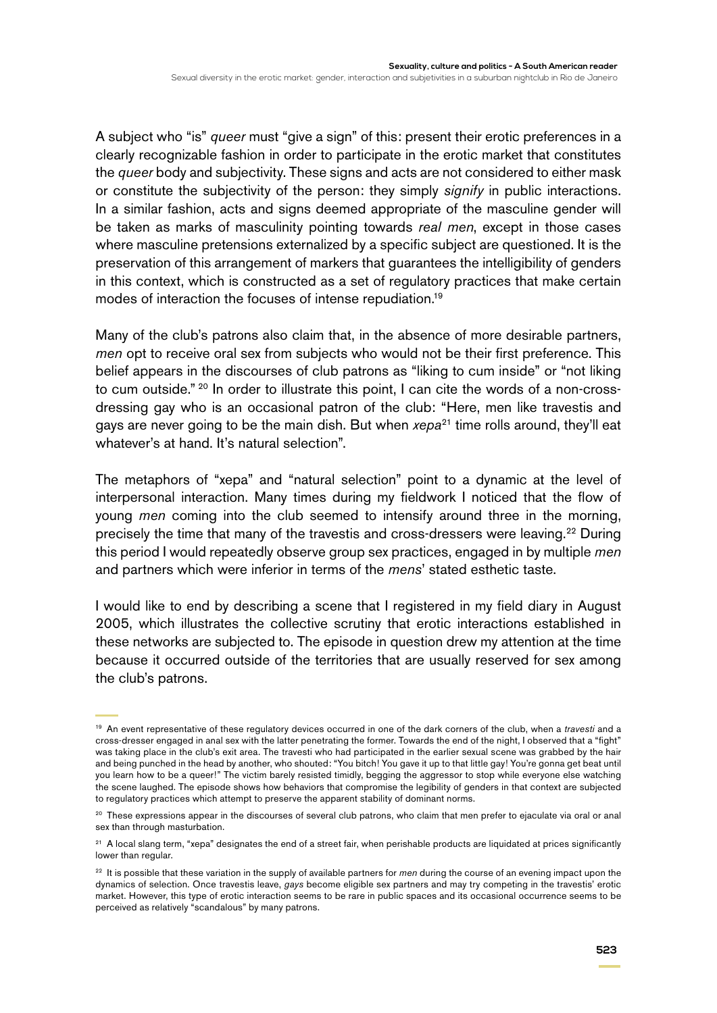A subject who "is" *queer* must "give a sign" of this: present their erotic preferences in a clearly recognizable fashion in order to participate in the erotic market that constitutes the *queer* body and subjectivity. These signs and acts are not considered to either mask or constitute the subjectivity of the person: they simply *signify* in public interactions. In a similar fashion, acts and signs deemed appropriate of the masculine gender will be taken as marks of masculinity pointing towards *real men*, except in those cases where masculine pretensions externalized by a specific subject are questioned. It is the preservation of this arrangement of markers that guarantees the intelligibility of genders in this context, which is constructed as a set of regulatory practices that make certain modes of interaction the focuses of intense repudiation.19

Many of the club's patrons also claim that, in the absence of more desirable partners, *men* opt to receive oral sex from subjects who would not be their first preference. This belief appears in the discourses of club patrons as "liking to cum inside" or "not liking to cum outside."<sup>20</sup> In order to illustrate this point, I can cite the words of a non-crossdressing gay who is an occasional patron of the club: "Here, men like travestis and gays are never going to be the main dish. But when *xepa*<sup>21</sup> time rolls around, they'll eat whatever's at hand. It's natural selection".

The metaphors of "xepa" and "natural selection" point to a dynamic at the level of interpersonal interaction. Many times during my fieldwork I noticed that the flow of young *men* coming into the club seemed to intensify around three in the morning, precisely the time that many of the travestis and cross-dressers were leaving.<sup>22</sup> During this period I would repeatedly observe group sex practices, engaged in by multiple *men* and partners which were inferior in terms of the *mens*' stated esthetic taste.

I would like to end by describing a scene that I registered in my field diary in August 2005, which illustrates the collective scrutiny that erotic interactions established in these networks are subjected to. The episode in question drew my attention at the time because it occurred outside of the territories that are usually reserved for sex among the club's patrons.

<sup>19</sup> An event representative of these regulatory devices occurred in one of the dark corners of the club, when a *travesti* and a cross-dresser engaged in anal sex with the latter penetrating the former. Towards the end of the night, I observed that a "fight" was taking place in the club's exit area. The travesti who had participated in the earlier sexual scene was grabbed by the hair and being punched in the head by another, who shouted: "You bitch! You gave it up to that little gay! You're gonna get beat until you learn how to be a queer!" The victim barely resisted timidly, begging the aggressor to stop while everyone else watching the scene laughed. The episode shows how behaviors that compromise the legibility of genders in that context are subjected to regulatory practices which attempt to preserve the apparent stability of dominant norms.

<sup>&</sup>lt;sup>20</sup> These expressions appear in the discourses of several club patrons, who claim that men prefer to ejaculate via oral or anal sex than through masturbation.

<sup>&</sup>lt;sup>21</sup> A local slang term, "xepa" designates the end of a street fair, when perishable products are liquidated at prices significantly lower than regular.

<sup>22</sup> It is possible that these variation in the supply of available partners for *men* during the course of an evening impact upon the dynamics of selection. Once travestis leave, *gays* become eligible sex partners and may try competing in the travestis' erotic market. However, this type of erotic interaction seems to be rare in public spaces and its occasional occurrence seems to be perceived as relatively "scandalous" by many patrons.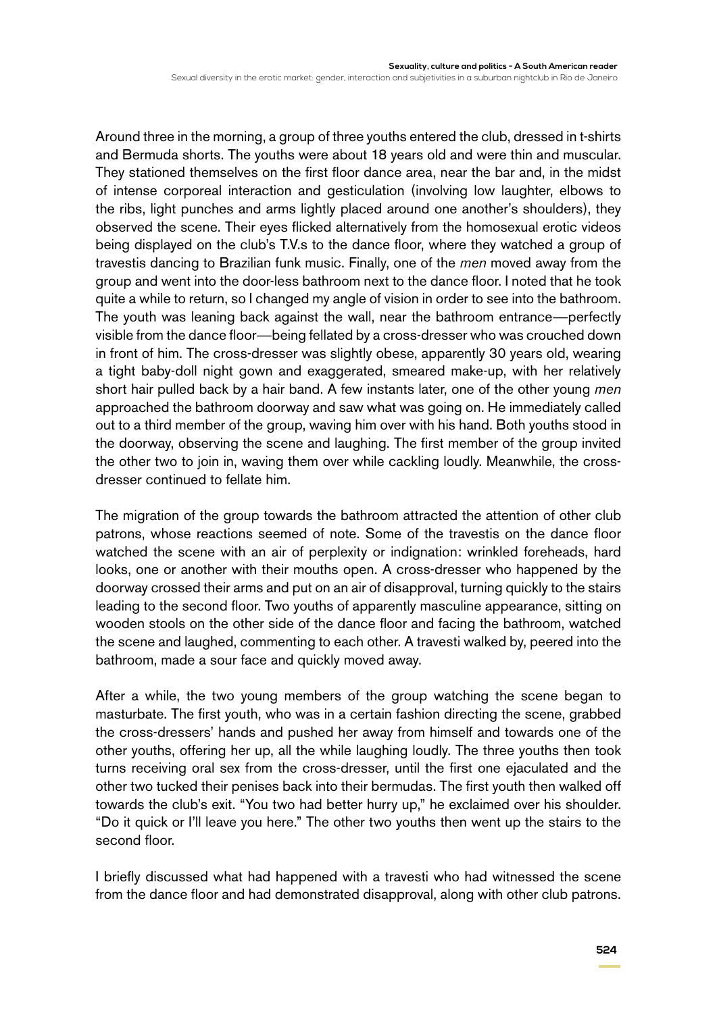Around three in the morning, a group of three youths entered the club, dressed in t-shirts and Bermuda shorts. The youths were about 18 years old and were thin and muscular. They stationed themselves on the first floor dance area, near the bar and, in the midst of intense corporeal interaction and gesticulation (involving low laughter, elbows to the ribs, light punches and arms lightly placed around one another's shoulders), they observed the scene. Their eyes flicked alternatively from the homosexual erotic videos being displayed on the club's T.V.s to the dance floor, where they watched a group of travestis dancing to Brazilian funk music. Finally, one of the *men* moved away from the group and went into the door-less bathroom next to the dance floor. I noted that he took quite a while to return, so I changed my angle of vision in order to see into the bathroom. The youth was leaning back against the wall, near the bathroom entrance—perfectly visible from the dance floor—being fellated by a cross-dresser who was crouched down in front of him. The cross-dresser was slightly obese, apparently 30 years old, wearing a tight baby-doll night gown and exaggerated, smeared make-up, with her relatively short hair pulled back by a hair band. A few instants later, one of the other young *men* approached the bathroom doorway and saw what was going on. He immediately called out to a third member of the group, waving him over with his hand. Both youths stood in the doorway, observing the scene and laughing. The first member of the group invited the other two to join in, waving them over while cackling loudly. Meanwhile, the crossdresser continued to fellate him.

The migration of the group towards the bathroom attracted the attention of other club patrons, whose reactions seemed of note. Some of the travestis on the dance floor watched the scene with an air of perplexity or indignation: wrinkled foreheads, hard looks, one or another with their mouths open. A cross-dresser who happened by the doorway crossed their arms and put on an air of disapproval, turning quickly to the stairs leading to the second floor. Two youths of apparently masculine appearance, sitting on wooden stools on the other side of the dance floor and facing the bathroom, watched the scene and laughed, commenting to each other. A travesti walked by, peered into the bathroom, made a sour face and quickly moved away.

After a while, the two young members of the group watching the scene began to masturbate. The first youth, who was in a certain fashion directing the scene, grabbed the cross-dressers' hands and pushed her away from himself and towards one of the other youths, offering her up, all the while laughing loudly. The three youths then took turns receiving oral sex from the cross-dresser, until the first one ejaculated and the other two tucked their penises back into their bermudas. The first youth then walked off towards the club's exit. "You two had better hurry up," he exclaimed over his shoulder. "Do it quick or I'll leave you here." The other two youths then went up the stairs to the second floor.

I briefly discussed what had happened with a travesti who had witnessed the scene from the dance floor and had demonstrated disapproval, along with other club patrons.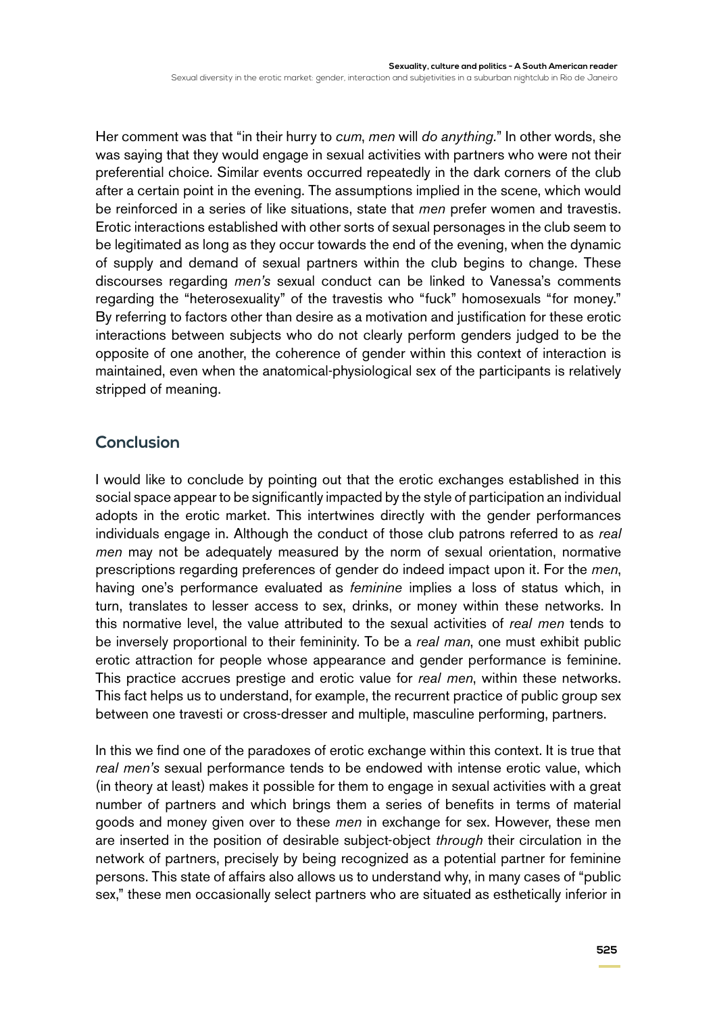Her comment was that "in their hurry to *cum*, *men* will *do anything.*" In other words, she was saying that they would engage in sexual activities with partners who were not their preferential choice. Similar events occurred repeatedly in the dark corners of the club after a certain point in the evening. The assumptions implied in the scene, which would be reinforced in a series of like situations, state that *men* prefer women and travestis. Erotic interactions established with other sorts of sexual personages in the club seem to be legitimated as long as they occur towards the end of the evening, when the dynamic of supply and demand of sexual partners within the club begins to change. These discourses regarding *men's* sexual conduct can be linked to Vanessa's comments regarding the "heterosexuality" of the travestis who "fuck" homosexuals "for money." By referring to factors other than desire as a motivation and justification for these erotic interactions between subjects who do not clearly perform genders judged to be the opposite of one another, the coherence of gender within this context of interaction is maintained, even when the anatomical-physiological sex of the participants is relatively stripped of meaning.

## **Conclusion**

I would like to conclude by pointing out that the erotic exchanges established in this social space appear to be significantly impacted by the style of participation an individual adopts in the erotic market. This intertwines directly with the gender performances individuals engage in. Although the conduct of those club patrons referred to as *real men* may not be adequately measured by the norm of sexual orientation, normative prescriptions regarding preferences of gender do indeed impact upon it. For the *men*, having one's performance evaluated as *feminine* implies a loss of status which, in turn, translates to lesser access to sex, drinks, or money within these networks. In this normative level, the value attributed to the sexual activities of *real men* tends to be inversely proportional to their femininity. To be a *real man*, one must exhibit public erotic attraction for people whose appearance and gender performance is feminine. This practice accrues prestige and erotic value for *real men*, within these networks. This fact helps us to understand, for example, the recurrent practice of public group sex between one travesti or cross-dresser and multiple, masculine performing, partners.

In this we find one of the paradoxes of erotic exchange within this context. It is true that *real men's* sexual performance tends to be endowed with intense erotic value, which (in theory at least) makes it possible for them to engage in sexual activities with a great number of partners and which brings them a series of benefits in terms of material goods and money given over to these *men* in exchange for sex. However, these men are inserted in the position of desirable subject-object *through* their circulation in the network of partners, precisely by being recognized as a potential partner for feminine persons. This state of affairs also allows us to understand why, in many cases of "public sex," these men occasionally select partners who are situated as esthetically inferior in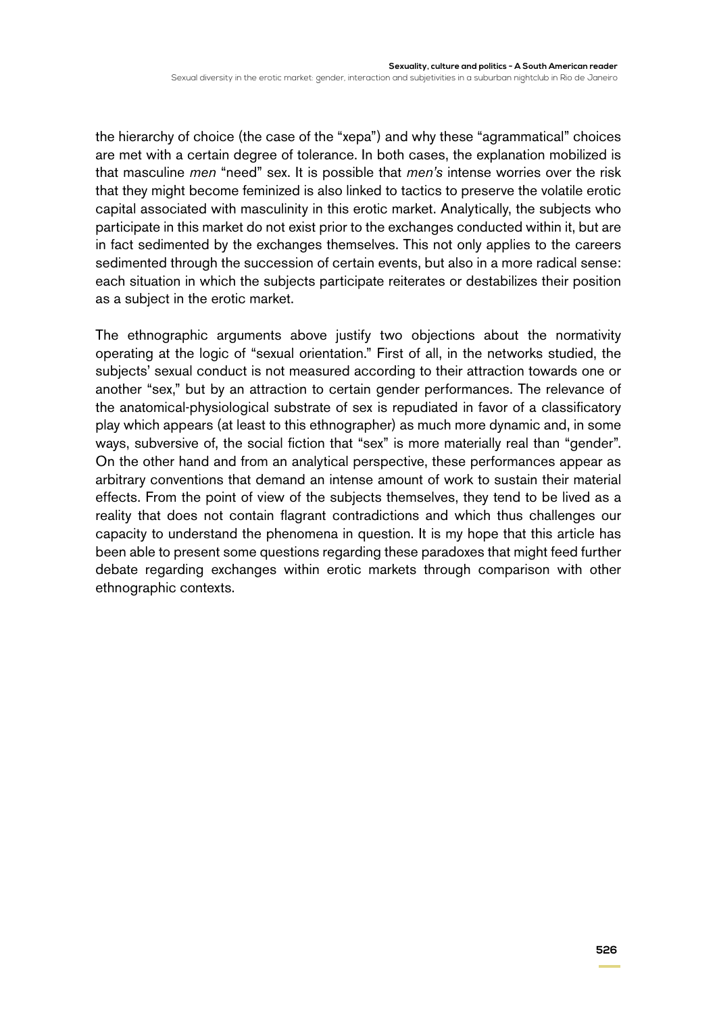the hierarchy of choice (the case of the "xepa") and why these "agrammatical" choices are met with a certain degree of tolerance. In both cases, the explanation mobilized is that masculine *men* "need" sex. It is possible that *men's* intense worries over the risk that they might become feminized is also linked to tactics to preserve the volatile erotic capital associated with masculinity in this erotic market. Analytically, the subjects who participate in this market do not exist prior to the exchanges conducted within it, but are in fact sedimented by the exchanges themselves. This not only applies to the careers sedimented through the succession of certain events, but also in a more radical sense: each situation in which the subjects participate reiterates or destabilizes their position as a subject in the erotic market.

The ethnographic arguments above justify two objections about the normativity operating at the logic of "sexual orientation." First of all, in the networks studied, the subjects' sexual conduct is not measured according to their attraction towards one or another "sex," but by an attraction to certain gender performances. The relevance of the anatomical-physiological substrate of sex is repudiated in favor of a classificatory play which appears (at least to this ethnographer) as much more dynamic and, in some ways, subversive of, the social fiction that "sex" is more materially real than "gender". On the other hand and from an analytical perspective, these performances appear as arbitrary conventions that demand an intense amount of work to sustain their material effects. From the point of view of the subjects themselves, they tend to be lived as a reality that does not contain flagrant contradictions and which thus challenges our capacity to understand the phenomena in question. It is my hope that this article has been able to present some questions regarding these paradoxes that might feed further debate regarding exchanges within erotic markets through comparison with other ethnographic contexts.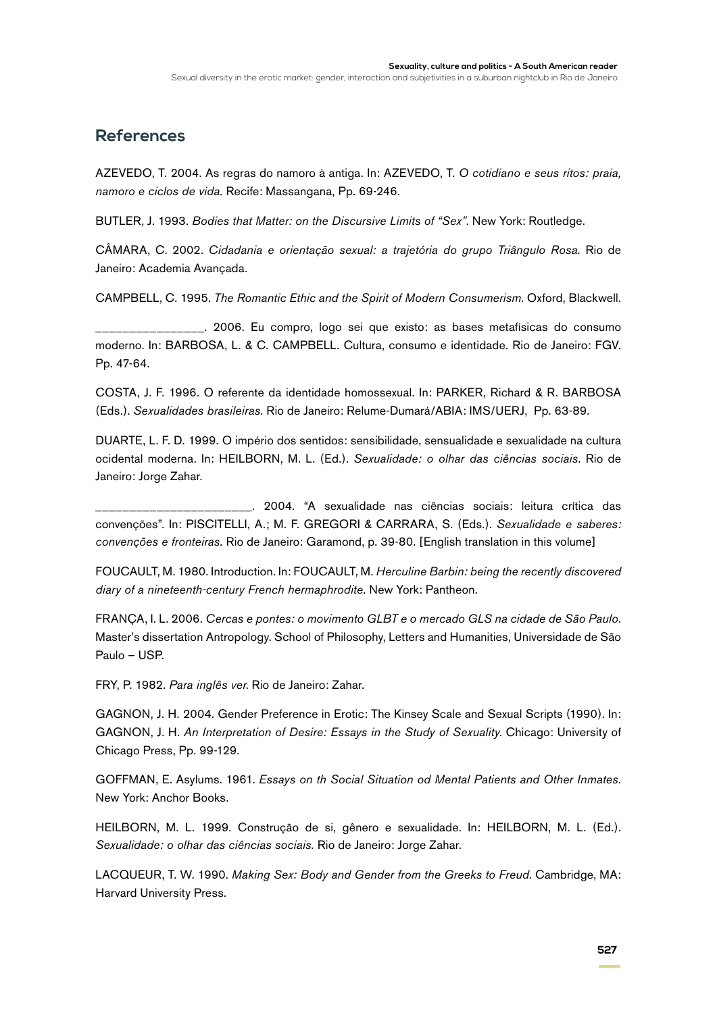### **References**

AZEVEDO, T. 2004. As regras do namoro à antiga. In: AZEVEDO, T. *O cotidiano e seus ritos: praia, namoro e ciclos de vida.* Recife: Massangana, Pp. 69-246.

BUTLER, J. 1993. *Bodies that Matter: on the Discursive Limits of "Sex".* New York: Routledge.

CÂMARA, C. 2002. *Cidadania e orientação sexual: a trajetória do grupo Triângulo Rosa.* Rio de Janeiro: Academia Avançada.

CAMPBELL, C. 1995. *The Romantic Ethic and the Spirit of Modern Consumerism*. Oxford, Blackwell.

\_\_\_\_\_\_\_\_\_\_\_\_\_\_\_\_. 2006. Eu compro, logo sei que existo: as bases metafísicas do consumo moderno. In: BARBOSA, L. & C. CAMPBELL. Cultura, consumo e identidade. Rio de Janeiro: FGV. Pp. 47-64.

COSTA, J. F. 1996. O referente da identidade homossexual. In: PARKER, Richard & R. BARBOSA (Eds.). *Sexualidades brasileiras.* Rio de Janeiro: Relume-Dumará/ABIA: IMS/UERJ, Pp. 63-89.

DUARTE, L. F. D. 1999. O império dos sentidos: sensibilidade, sensualidade e sexualidade na cultura ocidental moderna. In: HEILBORN, M. L. (Ed.). *Sexualidade: o olhar das ciências sociais.* Rio de Janeiro: Jorge Zahar.

\_\_\_\_\_\_\_\_\_\_\_\_\_\_\_\_\_\_\_\_\_\_\_. 2004. "A sexualidade nas ciências sociais: leitura crítica das convenções". In: PISCITELLI, A.; M. F. GREGORI & CARRARA, S. (Eds.). *Sexualidade e saberes: convenções e fronteiras.* Rio de Janeiro: Garamond, p. 39-80. [English translation in this volume]

FOUCAULT, M. 1980. Introduction. In: FOUCAULT, M. *Herculine Barbin: being the recently discovered diary of a nineteenth-century French hermaphrodite.* New York: Pantheon.

FRANÇA, I. L. 2006. *Cercas e pontes: o movimento GLBT e o mercado GLS na cidade de São Paulo.* Master's dissertation Antropology. School of Philosophy, Letters and Humanities, Universidade de São Paulo – USP.

FRY, P. 1982. *Para inglês ver*. Rio de Janeiro: Zahar.

GAGNON, J. H. 2004. Gender Preference in Erotic: The Kinsey Scale and Sexual Scripts (1990). In: GAGNON, J. H. *An Interpretation of Desire: Essays in the Study of Sexuality*. Chicago: University of Chicago Press, Pp. 99-129.

GOFFMAN, E. Asylums. 1961. *Essays on th Social Situation od Mental Patients and Other Inmates.* New York: Anchor Books.

HEILBORN, M. L. 1999. Construção de si, gênero e sexualidade. In: HEILBORN, M. L. (Ed.). *Sexualidade: o olhar das ciências sociais.* Rio de Janeiro: Jorge Zahar.

LACQUEUR, T. W. 1990. *Making Sex: Body and Gender from the Greeks to Freud.* Cambridge, MA: Harvard University Press.